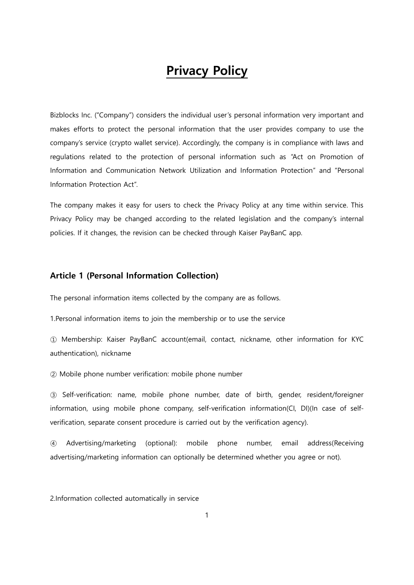# Privacy Policy

Bizblocks Inc. ("Company") considers the individual user"s personal information very important and makes efforts to protect the personal information that the user provides company to use the company"s service (crypto wallet service). Accordingly, the company is in compliance with laws and regulations related to the protection of personal information such as "Act on Promotion of Information and Communication Network Utilization and Information Protection" and "Personal Information Protection Act".

The company makes it easy for users to check the Privacy Policy at any time within service. This Privacy Policy may be changed according to the related legislation and the company's internal policies. If it changes, the revision can be checked through Kaiser PayBanC app.

#### Article 1 (Personal Information Collection)

The personal information items collected by the company are as follows.

1.Personal information items to join the membership or to use the service

① Membership: Kaiser PayBanC account(email, contact, nickname, other information for KYC authentication), nickname

② Mobile phone number verification: mobile phone number

③ Self-verification: name, mobile phone number, date of birth, gender, resident/foreigner information, using mobile phone company, self-verification information(CI, DI)(In case of selfverification, separate consent procedure is carried out by the verification agency).

④ Advertising/marketing (optional): mobile phone number, email address(Receiving advertising/marketing information can optionally be determined whether you agree or not).

2.Information collected automatically in service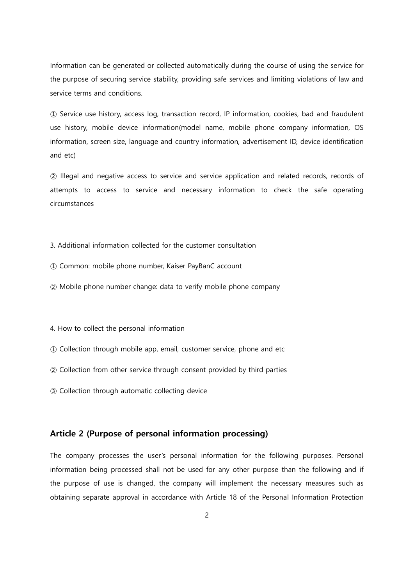Information can be generated or collected automatically during the course of using the service for the purpose of securing service stability, providing safe services and limiting violations of law and service terms and conditions.

① Service use history, access log, transaction record, IP information, cookies, bad and fraudulent use history, mobile device information(model name, mobile phone company information, OS information, screen size, language and country information, advertisement ID, device identification and etc)

② Illegal and negative access to service and service application and related records, records of attempts to access to service and necessary information to check the safe operating circumstances

3. Additional information collected for the customer consultation

- ① Common: mobile phone number, Kaiser PayBanC account
- ② Mobile phone number change: data to verify mobile phone company

4. How to collect the personal information

- ① Collection through mobile app, email, customer service, phone and etc
- ② Collection from other service through consent provided by third parties
- ③ Collection through automatic collecting device

### Article 2 (Purpose of personal information processing)

The company processes the user"s personal information for the following purposes. Personal information being processed shall not be used for any other purpose than the following and if the purpose of use is changed, the company will implement the necessary measures such as obtaining separate approval in accordance with Article 18 of the Personal Information Protection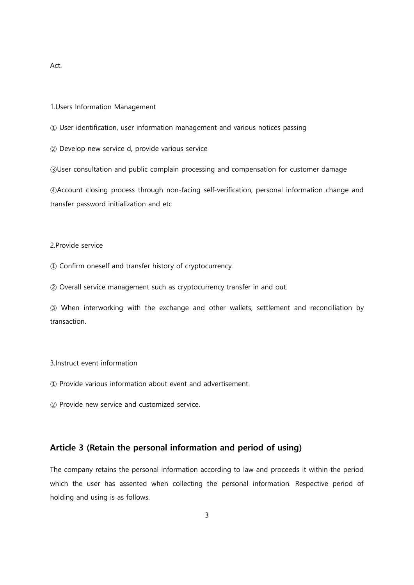Act.

1.Users Information Management

① User identification, user information management and various notices passing

② Develop new service d, provide various service

③User consultation and public complain processing and compensation for customer damage

④Account closing process through non-facing self-verification, personal information change and transfer password initialization and etc

#### 2.Provide service

① Confirm oneself and transfer history of cryptocurrency.

② Overall service management such as cryptocurrency transfer in and out.

③ When interworking with the exchange and other wallets, settlement and reconciliation by transaction.

#### 3.Instruct event information

① Provide various information about event and advertisement.

② Provide new service and customized service.

#### Article 3 (Retain the personal information and period of using)

The company retains the personal information according to law and proceeds it within the period which the user has assented when collecting the personal information. Respective period of holding and using is as follows.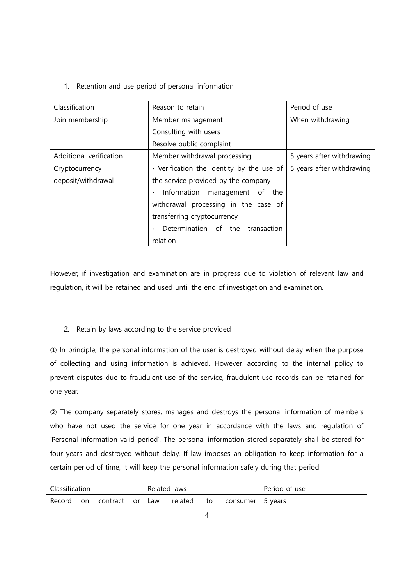### 1. Retention and use period of personal information

| Classification          | Reason to retain                                | Period of use             |
|-------------------------|-------------------------------------------------|---------------------------|
| Join membership         | Member management                               | When withdrawing          |
|                         | Consulting with users                           |                           |
|                         | Resolve public complaint                        |                           |
| Additional verification | Member withdrawal processing                    | 5 years after withdrawing |
| Cryptocurrency          | $\cdot$ Verification the identity by the use of | 5 years after withdrawing |
| deposit/withdrawal      | the service provided by the company             |                           |
|                         | Information management of the                   |                           |
|                         | withdrawal processing in the case of            |                           |
|                         | transferring cryptocurrency                     |                           |
|                         | Determination of the transaction                |                           |
|                         | relation                                        |                           |

However, if investigation and examination are in progress due to violation of relevant law and regulation, it will be retained and used until the end of investigation and examination.

### 2. Retain by laws according to the service provided

① In principle, the personal information of the user is destroyed without delay when the purpose of collecting and using information is achieved. However, according to the internal policy to prevent disputes due to fraudulent use of the service, fraudulent use records can be retained for one year.

② The company separately stores, manages and destroys the personal information of members who have not used the service for one year in accordance with the laws and regulation of 'Personal information valid period'. The personal information stored separately shall be stored for four years and destroyed without delay. If law imposes an obligation to keep information for a certain period of time, it will keep the personal information safely during that period.

| Classification |  |                        | Related laws |  |         |    | Period of use      |  |
|----------------|--|------------------------|--------------|--|---------|----|--------------------|--|
| Record         |  | l on contract or I Law |              |  | related | to | consumer   5 years |  |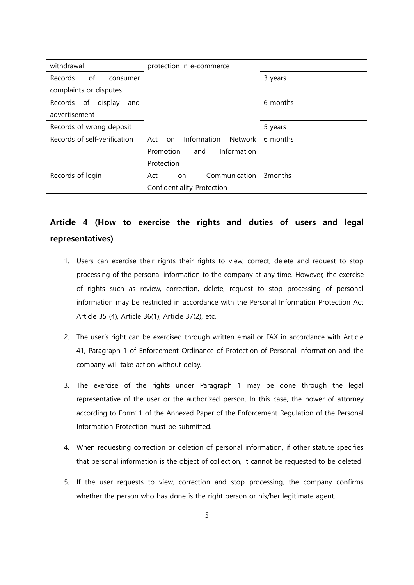| withdrawal                   | protection in e-commerce            |                     |
|------------------------------|-------------------------------------|---------------------|
| of<br>Records<br>consumer    |                                     | 3 years             |
| complaints or disputes       |                                     |                     |
| display<br>Records of<br>and |                                     | 6 months            |
| advertisement                |                                     |                     |
| Records of wrong deposit     |                                     | 5 years             |
| Records of self-verification | Information<br>Network<br>Act<br>on | 6 months            |
|                              | Information<br>Promotion<br>and     |                     |
|                              | Protection                          |                     |
| Records of login             | Communication<br>Act<br>on          | 3 <sub>months</sub> |
|                              | Confidentiality Protection          |                     |

## Article 4 (How to exercise the rights and duties of users and legal representatives)

- 1. Users can exercise their rights their rights to view, correct, delete and request to stop processing of the personal information to the company at any time. However, the exercise of rights such as review, correction, delete, request to stop processing of personal information may be restricted in accordance with the Personal Information Protection Act Article 35 (4), Article 36(1), Article 37(2), etc.
- 2. The user"s right can be exercised through written email or FAX in accordance with Article 41, Paragraph 1 of Enforcement Ordinance of Protection of Personal Information and the company will take action without delay.
- 3. The exercise of the rights under Paragraph 1 may be done through the legal representative of the user or the authorized person. In this case, the power of attorney according to Form11 of the Annexed Paper of the Enforcement Regulation of the Personal Information Protection must be submitted.
- 4. When requesting correction or deletion of personal information, if other statute specifies that personal information is the object of collection, it cannot be requested to be deleted.
- 5. If the user requests to view, correction and stop processing, the company confirms whether the person who has done is the right person or his/her legitimate agent.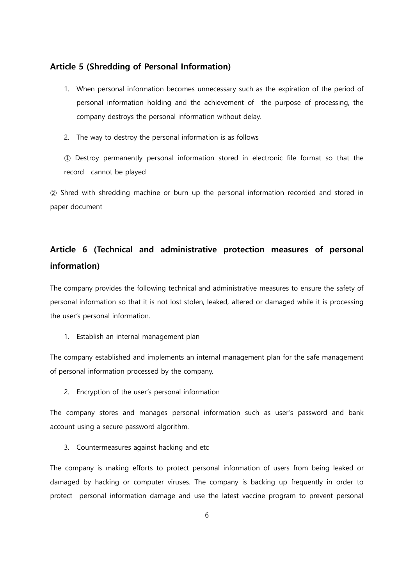#### Article 5 (Shredding of Personal Information)

- 1. When personal information becomes unnecessary such as the expiration of the period of personal information holding and the achievement of the purpose of processing, the company destroys the personal information without delay.
- 2. The way to destroy the personal information is as follows

① Destroy permanently personal information stored in electronic file format so that the record cannot be played

② Shred with shredding machine or burn up the personal information recorded and stored in paper document

## Article 6 (Technical and administrative protection measures of personal information)

The company provides the following technical and administrative measures to ensure the safety of personal information so that it is not lost stolen, leaked, altered or damaged while it is processing the user"s personal information.

1. Establish an internal management plan

The company established and implements an internal management plan for the safe management of personal information processed by the company.

2. Encryption of the user"s personal information

The company stores and manages personal information such as user"s password and bank account using a secure password algorithm.

3. Countermeasures against hacking and etc

The company is making efforts to protect personal information of users from being leaked or damaged by hacking or computer viruses. The company is backing up frequently in order to protect personal information damage and use the latest vaccine program to prevent personal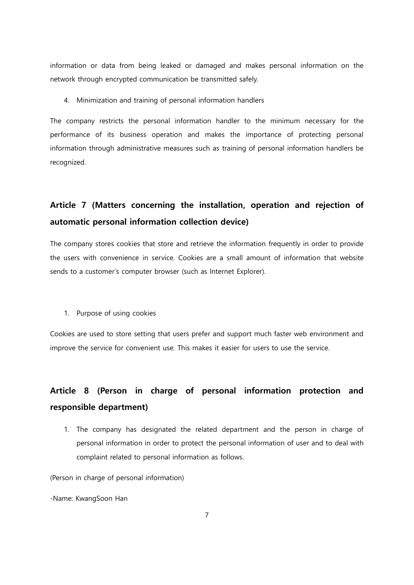information or data from being leaked or damaged and makes personal information on the network through encrypted communication be transmitted safely.

4. Minimization and training of personal information handlers

The company restricts the personal information handler to the minimum necessary for the performance of its business operation and makes the importance of protecting personal information through administrative measures such as training of personal information handlers be recognized.

## Article 7 (Matters concerning the installation, operation and rejection of automatic personal information collection device)

The company stores cookies that store and retrieve the information frequently in order to provide the users with convenience in service. Cookies are a small amount of information that website sends to a customer's computer browser (such as Internet Explorer).

1. Purpose of using cookies

Cookies are used to store setting that users prefer and support much faster web environment and improve the service for convenient use. This makes it easier for users to use the service.

## Article 8 (Person in charge of personal information protection and responsible department)

1. The company has designated the related department and the person in charge of personal information in order to protect the personal information of user and to deal with complaint related to personal information as follows.

(Person in charge of personal information)

-Name: KwangSoon Han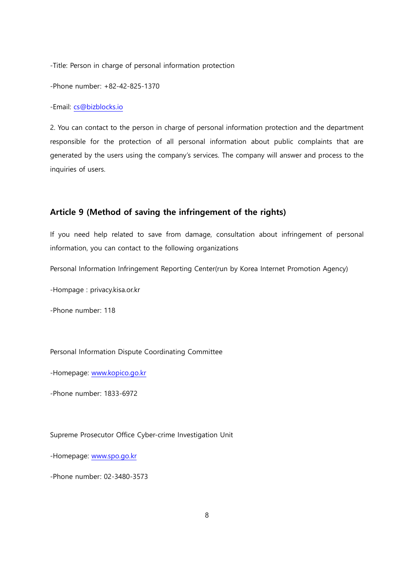-Title: Person in charge of personal information protection

-Phone number: +82-42-825-1370

-Email: [cs@bizblocks.io](mailto:cs@bizblocks.io)

2. You can contact to the person in charge of personal information protection and the department responsible for the protection of all personal information about public complaints that are generated by the users using the company"s services. The company will answer and process to the inquiries of users.

### Article 9 (Method of saving the infringement of the rights)

If you need help related to save from damage, consultation about infringement of personal information, you can contact to the following organizations

Personal Information Infringement Reporting Center(run by Korea Internet Promotion Agency)

-Hompage : privacy.kisa.or.kr

-Phone number: 118

Personal Information Dispute Coordinating Committee

-Homepage: [www.kopico.go.kr](http://www.kopico.go.kr/)

-Phone number: 1833-6972

Supreme Prosecutor Office Cyber-crime Investigation Unit

-Homepage: [www.spo.go.kr](http://www.spo.go.kr/)

-Phone number: 02-3480-3573